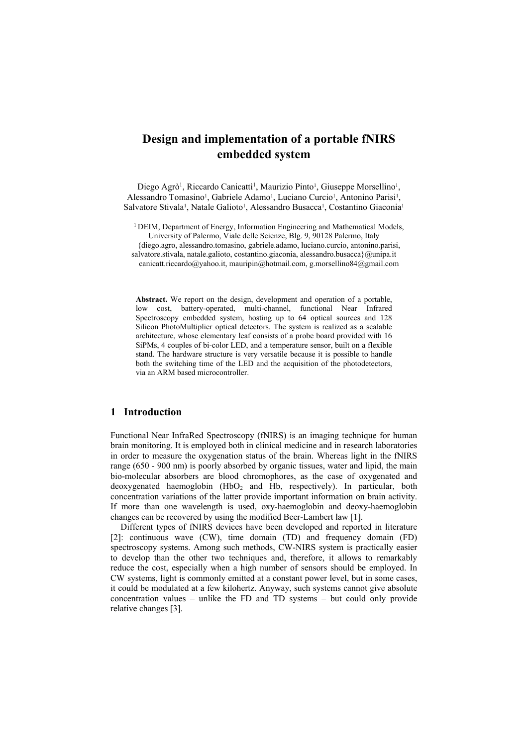# **Design and implementation of a portable fNIRS embedded system**

Diego Agrò<sup>1</sup>, Riccardo Canicatti<sup>1</sup>, Maurizio Pinto<sup>1</sup>, Giuseppe Morsellino<sup>1</sup>, Alessandro Tomasino<sup>1</sup>, Gabriele Adamo<sup>1</sup>, Luciano Curcio<sup>1</sup>, Antonino Parisi<sup>1</sup>, Salvatore Stivala<sup>1</sup>, Natale Galioto<sup>1</sup>, Alessandro Busacca<sup>1</sup>, Costantino Giaconia<sup>1</sup>

<sup>1</sup> DEIM, Department of Energy, Information Engineering and Mathematical Models, University of Palermo, Viale delle Scienze, Blg. 9, 90128 Palermo, Italy

{diego.agro, alessandro.tomasino, gabriele.adamo, luciano.curcio, antonino.parisi,

salvatore.stivala, natale.galioto, costantino.giaconia, alessandro.busacca}@unipa.it

canicatt.riccardo@yahoo.it, mauripin@hotmail.com, g.morsellino84@gmail.com

**Abstract.** We report on the design, development and operation of a portable, low cost, battery-operated, multi-channel, functional Near Infrared Spectroscopy embedded system, hosting up to 64 optical sources and 128 Silicon PhotoMultiplier optical detectors. The system is realized as a scalable architecture, whose elementary leaf consists of a probe board provided with 16 SiPMs, 4 couples of bi-color LED, and a temperature sensor, built on a flexible stand. The hardware structure is very versatile because it is possible to handle both the switching time of the LED and the acquisition of the photodetectors, via an ARM based microcontroller.

## **1 Introduction**

Functional Near InfraRed Spectroscopy (fNIRS) is an imaging technique for human brain monitoring. It is employed both in clinical medicine and in research laboratories in order to measure the oxygenation status of the brain. Whereas light in the fNIRS range (650 - 900 nm) is poorly absorbed by organic tissues, water and lipid, the main bio-molecular absorbers are blood chromophores, as the case of oxygenated and deoxygenated haemoglobin  $(HbO<sub>2</sub>$  and Hb, respectively). In particular, both concentration variations of the latter provide important information on brain activity. If more than one wavelength is used, oxy-haemoglobin and deoxy-haemoglobin changes can be recovered by using the modified Beer-Lambert law [1].

Different types of fNIRS devices have been developed and reported in literature [2]: continuous wave (CW), time domain (TD) and frequency domain (FD) spectroscopy systems. Among such methods, CW-NIRS system is practically easier to develop than the other two techniques and, therefore, it allows to remarkably reduce the cost, especially when a high number of sensors should be employed. In CW systems, light is commonly emitted at a constant power level, but in some cases, it could be modulated at a few kilohertz. Anyway, such systems cannot give absolute concentration values – unlike the FD and TD systems – but could only provide relative changes [3].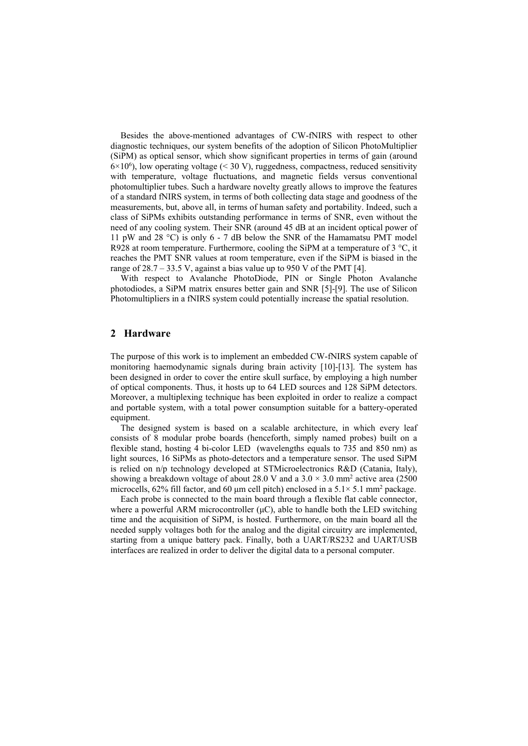Besides the above-mentioned advantages of CW-fNIRS with respect to other diagnostic techniques, our system benefits of the adoption of Silicon PhotoMultiplier (SiPM) as optical sensor, which show significant properties in terms of gain (around  $6 \times 10^6$ ), low operating voltage (< 30 V), ruggedness, compactness, reduced sensitivity with temperature, voltage fluctuations, and magnetic fields versus conventional photomultiplier tubes. Such a hardware novelty greatly allows to improve the features of a standard fNIRS system, in terms of both collecting data stage and goodness of the measurements, but, above all, in terms of human safety and portability. Indeed, such a class of SiPMs exhibits outstanding performance in terms of SNR, even without the need of any cooling system. Their SNR (around 45 dB at an incident optical power of 11 pW and 28 °C) is only 6 - 7 dB below the SNR of the Hamamatsu PMT model R928 at room temperature. Furthermore, cooling the SiPM at a temperature of 3  $^{\circ}C$ , it reaches the PMT SNR values at room temperature, even if the SiPM is biased in the range of  $28.7 - 33.5$  V, against a bias value up to 950 V of the PMT [4].

With respect to Avalanche PhotoDiode, PIN or Single Photon Avalanche photodiodes, a SiPM matrix ensures better gain and SNR [5]-[9]. The use of Silicon Photomultipliers in a fNIRS system could potentially increase the spatial resolution.

# **2 Hardware**

The purpose of this work is to implement an embedded CW-fNIRS system capable of monitoring haemodynamic signals during brain activity [10]-[13]. The system has been designed in order to cover the entire skull surface, by employing a high number of optical components. Thus, it hosts up to 64 LED sources and 128 SiPM detectors. Moreover, a multiplexing technique has been exploited in order to realize a compact and portable system, with a total power consumption suitable for a battery-operated equipment.

The designed system is based on a scalable architecture, in which every leaf consists of 8 modular probe boards (henceforth, simply named probes) built on a flexible stand, hosting 4 bi-color LED (wavelengths equals to 735 and 850 nm) as light sources, 16 SiPMs as photo-detectors and a temperature sensor. The used SiPM is relied on n/p technology developed at STMicroelectronics R&D (Catania, Italy), showing a breakdown voltage of about 28.0 V and a  $3.0 \times 3.0$  mm<sup>2</sup> active area (2500) microcells,  $62\%$  fill factor, and  $60 \mu$ m cell pitch) enclosed in a  $5.1 \times 5.1 \text{ mm}^2$  package.

Each probe is connected to the main board through a flexible flat cable connector, where a powerful ARM microcontroller  $(\mu C)$ , able to handle both the LED switching time and the acquisition of SiPM, is hosted. Furthermore, on the main board all the needed supply voltages both for the analog and the digital circuitry are implemented, starting from a unique battery pack. Finally, both a UART/RS232 and UART/USB interfaces are realized in order to deliver the digital data to a personal computer.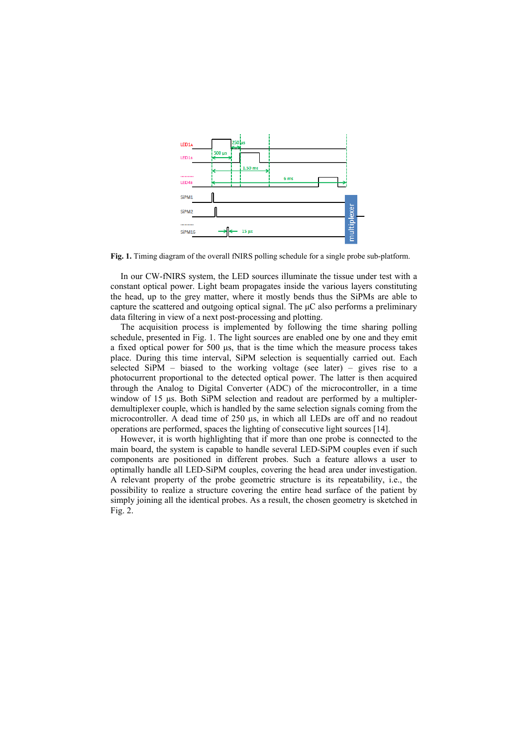

**Fig. 1.** Timing diagram of the overall fNIRS polling schedule for a single probe sub-platform.

In our CW-fNIRS system, the LED sources illuminate the tissue under test with a constant optical power. Light beam propagates inside the various layers constituting the head, up to the grey matter, where it mostly bends thus the SiPMs are able to capture the scattered and outgoing optical signal. The μC also performs a preliminary data filtering in view of a next post-processing and plotting.

The acquisition process is implemented by following the time sharing polling schedule, presented in Fig. 1. The light sources are enabled one by one and they emit a fixed optical power for 500 μs, that is the time which the measure process takes place. During this time interval, SiPM selection is sequentially carried out. Each selected  $SIPM - biased$  to the working voltage (see later) – gives rise to a photocurrent proportional to the detected optical power. The latter is then acquired through the Analog to Digital Converter (ADC) of the microcontroller, in a time window of 15 μs. Both SiPM selection and readout are performed by a multiplerdemultiplexer couple, which is handled by the same selection signals coming from the microcontroller. A dead time of 250 μs, in which all LEDs are off and no readout operations are performed, spaces the lighting of consecutive light sources [14].

However, it is worth highlighting that if more than one probe is connected to the main board, the system is capable to handle several LED-SiPM couples even if such components are positioned in different probes. Such a feature allows a user to optimally handle all LED-SiPM couples, covering the head area under investigation. A relevant property of the probe geometric structure is its repeatability, i.e., the possibility to realize a structure covering the entire head surface of the patient by simply joining all the identical probes. As a result, the chosen geometry is sketched in Fig. 2.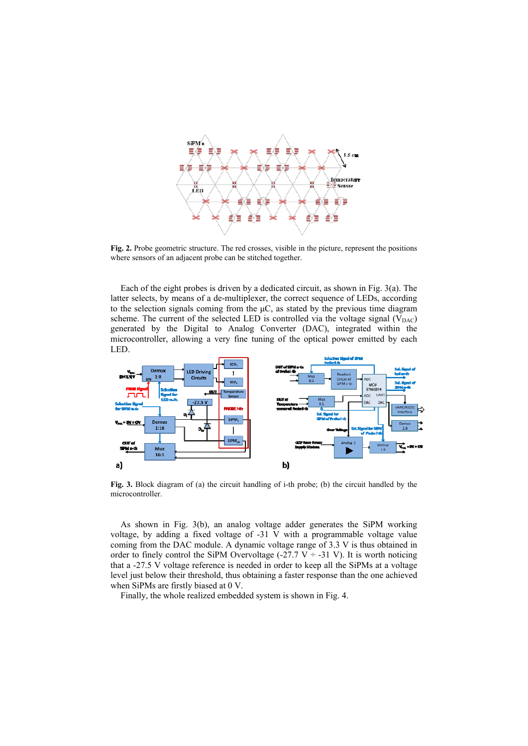

**Fig. 2.** Probe geometric structure. The red crosses, visible in the picture, represent the positions where sensors of an adjacent probe can be stitched together.

Each of the eight probes is driven by a dedicated circuit, as shown in Fig. 3(a). The latter selects, by means of a de-multiplexer, the correct sequence of LEDs, according to the selection signals coming from the  $\mu$ C, as stated by the previous time diagram scheme. The current of the selected LED is controlled via the voltage signal  $(V_{DAC})$ generated by the Digital to Analog Converter (DAC), integrated within the microcontroller, allowing a very fine tuning of the optical power emitted by each LED.



**Fig. 3.** Block diagram of (a) the circuit handling of i-th probe; (b) the circuit handled by the microcontroller.

As shown in Fig. 3(b), an analog voltage adder generates the SiPM working voltage, by adding a fixed voltage of -31 V with a programmable voltage value coming from the DAC module. A dynamic voltage range of 3.3 V is thus obtained in order to finely control the SiPM Overvoltage (-27.7 V  $\div$  -31 V). It is worth noticing that a -27.5 V voltage reference is needed in order to keep all the SiPMs at a voltage level just below their threshold, thus obtaining a faster response than the one achieved when SiPMs are firstly biased at 0 V.

Finally, the whole realized embedded system is shown in Fig. 4.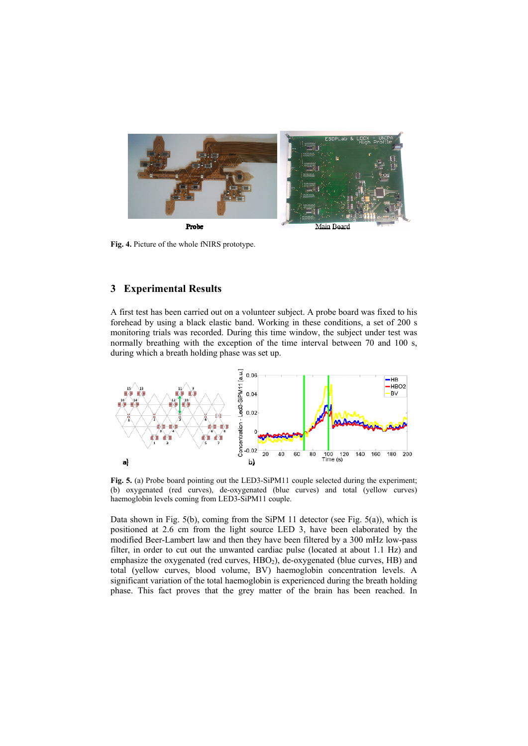

**Fig. 4.** Picture of the whole fNIRS prototype.

# **3 Experimental Results**

A first test has been carried out on a volunteer subject. A probe board was fixed to his forehead by using a black elastic band. Working in these conditions, a set of 200 s monitoring trials was recorded. During this time window, the subject under test was normally breathing with the exception of the time interval between 70 and 100 s, during which a breath holding phase was set up.



**Fig. 5.** (a) Probe board pointing out the LED3-SiPM11 couple selected during the experiment; (b) oxygenated (red curves), de-oxygenated (blue curves) and total (yellow curves) haemoglobin levels coming from LED3-SiPM11 couple.

Data shown in Fig.  $5(b)$ , coming from the SiPM 11 detector (see Fig.  $5(a)$ ), which is positioned at 2.6 cm from the light source LED 3, have been elaborated by the modified Beer-Lambert law and then they have been filtered by a 300 mHz low-pass filter, in order to cut out the unwanted cardiac pulse (located at about 1.1 Hz) and emphasize the oxygenated (red curves, HBO<sub>2</sub>), de-oxygenated (blue curves, HB) and total (yellow curves, blood volume, BV) haemoglobin concentration levels. A significant variation of the total haemoglobin is experienced during the breath holding phase. This fact proves that the grey matter of the brain has been reached. In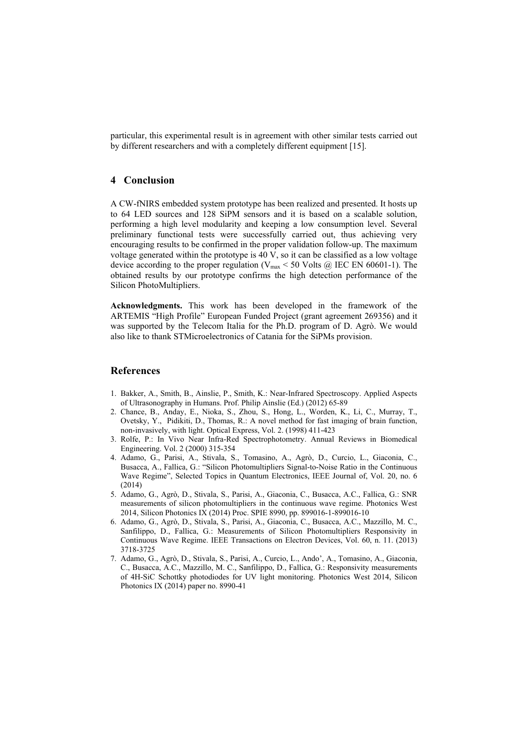particular, this experimental result is in agreement with other similar tests carried out by different researchers and with a completely different equipment [15].

### **4 Conclusion**

A CW-fNIRS embedded system prototype has been realized and presented. It hosts up to 64 LED sources and 128 SiPM sensors and it is based on a scalable solution, performing a high level modularity and keeping a low consumption level. Several preliminary functional tests were successfully carried out, thus achieving very encouraging results to be confirmed in the proper validation follow-up. The maximum voltage generated within the prototype is 40 V, so it can be classified as a low voltage device according to the proper regulation ( $V_{\text{max}}$  < 50 Volts @ IEC EN 60601-1). The obtained results by our prototype confirms the high detection performance of the Silicon PhotoMultipliers.

**Acknowledgments.** This work has been developed in the framework of the ARTEMIS "High Profile" European Funded Project (grant agreement 269356) and it was supported by the Telecom Italia for the Ph.D. program of D. Agrò. We would also like to thank STMicroelectronics of Catania for the SiPMs provision.

#### **References**

- 1. Bakker, A., Smith, B., Ainslie, P., Smith, K.: Near-Infrared Spectroscopy. Applied Aspects of Ultrasonography in Humans. Prof. Philip Ainslie (Ed.) (2012) 65-89
- 2. Chance, B., Anday, E., Nioka, S., Zhou, S., Hong, L., Worden, K., Li, C., Murray, T., Ovetsky, Y., Pidikiti, D., Thomas, R.: A novel method for fast imaging of brain function, non-invasively, with light. Optical Express, Vol. 2. (1998) 411-423
- 3. Rolfe, P.: In Vivo Near Infra-Red Spectrophotometry. Annual Reviews in Biomedical Engineering. Vol. 2 (2000) 315-354
- 4. Adamo, G., Parisi, A., Stivala, S., Tomasino, A., Agrò, D., Curcio, L., Giaconia, C., Busacca, A., Fallica, G.: "Silicon Photomultipliers Signal-to-Noise Ratio in the Continuous Wave Regime", Selected Topics in Quantum Electronics, IEEE Journal of, Vol. 20, no. 6 (2014)
- 5. Adamo, G., Agrò, D., Stivala, S., Parisi, A., Giaconia, C., Busacca, A.C., Fallica, G.: SNR measurements of silicon photomultipliers in the continuous wave regime. Photonics West 2014, Silicon Photonics IX (2014) Proc. SPIE 8990, pp. 899016-1-899016-10
- 6. Adamo, G., Agrò, D., Stivala, S., Parisi, A., Giaconia, C., Busacca, A.C., Mazzillo, M. C., Sanfilippo, D., Fallica, G.: Measurements of Silicon Photomultipliers Responsivity in Continuous Wave Regime. IEEE Transactions on Electron Devices, Vol. 60, n. 11. (2013) 3718-3725
- 7. Adamo, G., Agrò, D., Stivala, S., Parisi, A., Curcio, L., Ando', A., Tomasino, A., Giaconia, C., Busacca, A.C., Mazzillo, M. C., Sanfilippo, D., Fallica, G.: Responsivity measurements of 4H-SiC Schottky photodiodes for UV light monitoring. Photonics West 2014, Silicon Photonics IX (2014) paper no. 8990-41